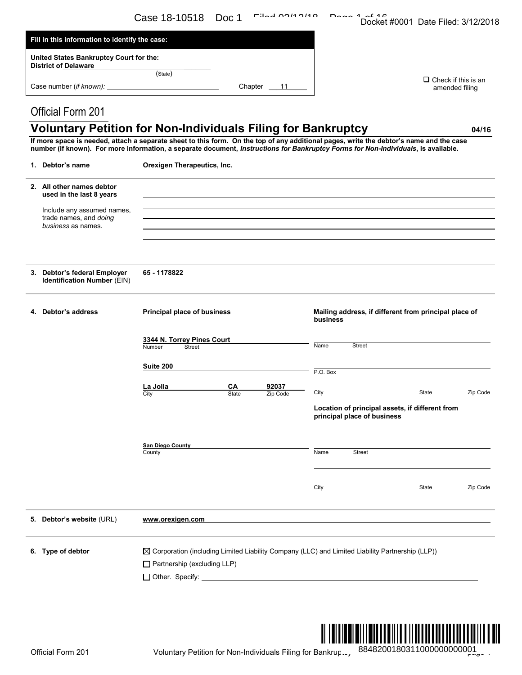|                                                                                                                                                                                                                                                                               | Case 18-10518                                             | Doc 1       | $Filad$ $0140140$ | $Dana 1$ $A10$                                                                                              | Docket #0001 Date Filed: 3/12/2018                    |                                              |
|-------------------------------------------------------------------------------------------------------------------------------------------------------------------------------------------------------------------------------------------------------------------------------|-----------------------------------------------------------|-------------|-------------------|-------------------------------------------------------------------------------------------------------------|-------------------------------------------------------|----------------------------------------------|
| Fill in this information to identify the case:                                                                                                                                                                                                                                |                                                           |             |                   |                                                                                                             |                                                       |                                              |
| United States Bankruptcy Court for the:                                                                                                                                                                                                                                       |                                                           |             |                   |                                                                                                             |                                                       |                                              |
| <b>District of Delaware</b>                                                                                                                                                                                                                                                   | (State)                                                   |             | Chapter $11$      |                                                                                                             |                                                       | $\Box$ Check if this is an<br>amended filing |
| <b>Official Form 201</b>                                                                                                                                                                                                                                                      |                                                           |             |                   |                                                                                                             |                                                       |                                              |
| <b>Voluntary Petition for Non-Individuals Filing for Bankruptcy</b>                                                                                                                                                                                                           |                                                           |             |                   |                                                                                                             |                                                       | 04/16                                        |
| If more space is needed, attach a separate sheet to this form. On the top of any additional pages, write the debtor's name and the case<br>number (if known). For more information, a separate document, Instructions for Bankruptcy Forms for Non-Individuals, is available. |                                                           |             |                   |                                                                                                             |                                                       |                                              |
| 1. Debtor's name                                                                                                                                                                                                                                                              | Orexigen Therapeutics, Inc.                               |             |                   |                                                                                                             |                                                       |                                              |
| 2. All other names debtor<br>used in the last 8 years                                                                                                                                                                                                                         |                                                           |             |                   |                                                                                                             |                                                       |                                              |
| Include any assumed names,<br>trade names, and doing<br>business as names.                                                                                                                                                                                                    |                                                           |             |                   | ,我们也不会有什么。""我们的人,我们也不会有什么?""我们的人,我们也不会有什么?""我们的人,我们也不会有什么?""我们的人,我们也不会有什么?""我们的人                            |                                                       |                                              |
|                                                                                                                                                                                                                                                                               |                                                           |             |                   |                                                                                                             |                                                       |                                              |
| 3. Debtor's federal Employer<br>Identification Number (EIN)                                                                                                                                                                                                                   | 65 - 1178822                                              |             |                   |                                                                                                             |                                                       |                                              |
| 4. Debtor's address                                                                                                                                                                                                                                                           | <b>Principal place of business</b>                        |             |                   | business                                                                                                    | Mailing address, if different from principal place of |                                              |
|                                                                                                                                                                                                                                                                               | 3344 N. Torrey Pines Court<br>Number<br><b>Street</b>     |             |                   | Name<br><b>Street</b>                                                                                       |                                                       |                                              |
|                                                                                                                                                                                                                                                                               | Suite 200                                                 |             |                   | $P.O.$ Box                                                                                                  |                                                       |                                              |
|                                                                                                                                                                                                                                                                               | La Jolla                                                  | CА<br>State | 92037<br>Zip Code | City                                                                                                        | State                                                 | Zip Code                                     |
|                                                                                                                                                                                                                                                                               | City                                                      |             |                   | principal place of business                                                                                 | Location of principal assets, if different from       |                                              |
|                                                                                                                                                                                                                                                                               | <b>San Diego County</b><br>County                         |             |                   | Name<br><b>Street</b>                                                                                       |                                                       |                                              |
|                                                                                                                                                                                                                                                                               |                                                           |             |                   |                                                                                                             |                                                       |                                              |
|                                                                                                                                                                                                                                                                               |                                                           |             |                   | City                                                                                                        | State                                                 | Zip Code                                     |
| 5. Debtor's website (URL)                                                                                                                                                                                                                                                     | www.orexigen.com                                          |             |                   |                                                                                                             |                                                       |                                              |
| 6. Type of debtor                                                                                                                                                                                                                                                             | $\Box$ Partnership (excluding LLP)                        |             |                   | $\boxtimes$ Corporation (including Limited Liability Company (LLC) and Limited Liability Partnership (LLP)) |                                                       |                                              |
| Official Form 201                                                                                                                                                                                                                                                             | Voluntary Petition for Non-Individuals Filing for Bankrun |             |                   |                                                                                                             | 8848200180311000000000001                             |                                              |



Official Form 201 Voluntary Petition for Non-Individuals Filing for Bankrup. <sup>884820018031100000000000</sup>0g\_。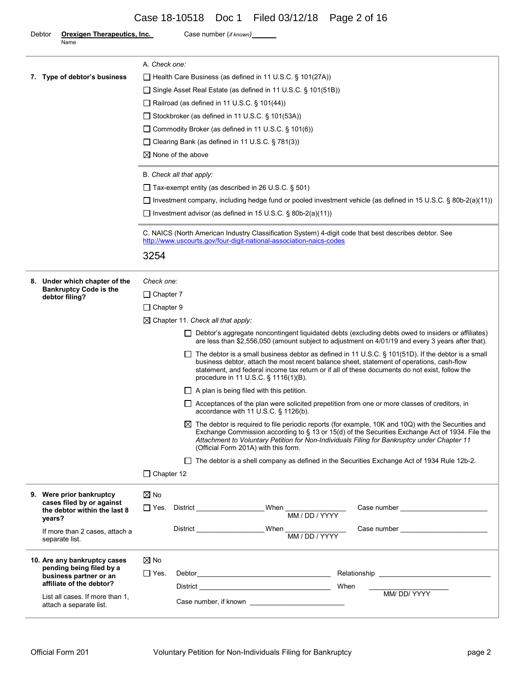# Case 18-10518 Doc 1 Filed 03/12/18 Page 2 of 16

| <b>Orexigen Therapeutics, Inc.</b><br>Debtor<br>Name                | Case number (if known)                                                                                                                                                                                                                                                                                                                                   |  |  |  |  |  |  |
|---------------------------------------------------------------------|----------------------------------------------------------------------------------------------------------------------------------------------------------------------------------------------------------------------------------------------------------------------------------------------------------------------------------------------------------|--|--|--|--|--|--|
|                                                                     | A. Check one:                                                                                                                                                                                                                                                                                                                                            |  |  |  |  |  |  |
| 7. Type of debtor's business                                        | □ Health Care Business (as defined in 11 U.S.C. § 101(27A))                                                                                                                                                                                                                                                                                              |  |  |  |  |  |  |
|                                                                     | □ Single Asset Real Estate (as defined in 11 U.S.C. § 101(51B))                                                                                                                                                                                                                                                                                          |  |  |  |  |  |  |
|                                                                     | $\Box$ Railroad (as defined in 11 U.S.C. § 101(44))                                                                                                                                                                                                                                                                                                      |  |  |  |  |  |  |
|                                                                     | $\Box$ Stockbroker (as defined in 11 U.S.C. § 101(53A))                                                                                                                                                                                                                                                                                                  |  |  |  |  |  |  |
|                                                                     | □ Commodity Broker (as defined in 11 U.S.C. § 101(6))                                                                                                                                                                                                                                                                                                    |  |  |  |  |  |  |
|                                                                     | $\Box$ Clearing Bank (as defined in 11 U.S.C. § 781(3))                                                                                                                                                                                                                                                                                                  |  |  |  |  |  |  |
|                                                                     | $\boxtimes$ None of the above                                                                                                                                                                                                                                                                                                                            |  |  |  |  |  |  |
|                                                                     | B. Check all that apply:                                                                                                                                                                                                                                                                                                                                 |  |  |  |  |  |  |
|                                                                     | $\Box$ Tax-exempt entity (as described in 26 U.S.C. § 501)                                                                                                                                                                                                                                                                                               |  |  |  |  |  |  |
|                                                                     | Investment company, including hedge fund or pooled investment vehicle (as defined in 15 U.S.C. § 80b-2(a)(11))                                                                                                                                                                                                                                           |  |  |  |  |  |  |
|                                                                     | $\Box$ Investment advisor (as defined in 15 U.S.C. § 80b-2(a)(11))                                                                                                                                                                                                                                                                                       |  |  |  |  |  |  |
|                                                                     | C. NAICS (North American Industry Classification System) 4-digit code that best describes debtor. See<br>http://www.uscourts.gov/four-digit-national-association-naics-codes                                                                                                                                                                             |  |  |  |  |  |  |
|                                                                     | 3254                                                                                                                                                                                                                                                                                                                                                     |  |  |  |  |  |  |
| 8. Under which chapter of the                                       | Check one:                                                                                                                                                                                                                                                                                                                                               |  |  |  |  |  |  |
| <b>Bankruptcy Code is the</b><br>debtor filing?                     | $\Box$ Chapter 7                                                                                                                                                                                                                                                                                                                                         |  |  |  |  |  |  |
|                                                                     | $\Box$ Chapter 9                                                                                                                                                                                                                                                                                                                                         |  |  |  |  |  |  |
|                                                                     | $\boxtimes$ Chapter 11. Check all that apply:                                                                                                                                                                                                                                                                                                            |  |  |  |  |  |  |
|                                                                     | □ Debtor's aggregate noncontingent liquidated debts (excluding debts owed to insiders or affiliates)<br>are less than \$2,556,050 (amount subject to adjustment on 4/01/19 and every 3 years after that).                                                                                                                                                |  |  |  |  |  |  |
|                                                                     | $\Box$ The debtor is a small business debtor as defined in 11 U.S.C. § 101(51D). If the debtor is a small<br>business debtor, attach the most recent balance sheet, statement of operations, cash-flow<br>statement, and federal income tax return or if all of these documents do not exist, follow the<br>procedure in 11 U.S.C. § 1116(1)(B).         |  |  |  |  |  |  |
|                                                                     | $\Box$ A plan is being filed with this petition.                                                                                                                                                                                                                                                                                                         |  |  |  |  |  |  |
|                                                                     | □ Acceptances of the plan were solicited prepetition from one or more classes of creditors, in<br>accordance with 11 U.S.C. § 1126(b).                                                                                                                                                                                                                   |  |  |  |  |  |  |
|                                                                     | $\boxtimes$ The debtor is required to file periodic reports (for example, 10K and 10Q) with the Securities and<br>Exchange Commission according to § 13 or 15(d) of the Securities Exchange Act of 1934. File the<br>Attachment to Voluntary Petition for Non-Individuals Filing for Bankruptcy under Chapter 11<br>(Official Form 201A) with this form. |  |  |  |  |  |  |
|                                                                     | □ The debtor is a shell company as defined in the Securities Exchange Act of 1934 Rule 12b-2.                                                                                                                                                                                                                                                            |  |  |  |  |  |  |
|                                                                     | $\Box$ Chapter 12                                                                                                                                                                                                                                                                                                                                        |  |  |  |  |  |  |
| 9. Were prior bankruptcy                                            | $\boxtimes$ No                                                                                                                                                                                                                                                                                                                                           |  |  |  |  |  |  |
| cases filed by or against<br>the debtor within the last 8<br>years? | ∏ Yes.                                                                                                                                                                                                                                                                                                                                                   |  |  |  |  |  |  |
| If more than 2 cases, attach a<br>separate list.                    | When MM / DD / YYYY<br>District                                                                                                                                                                                                                                                                                                                          |  |  |  |  |  |  |
| 10. Are any bankruptcy cases                                        | $\boxtimes$ No                                                                                                                                                                                                                                                                                                                                           |  |  |  |  |  |  |
| pending being filed by a<br>business partner or an                  | $\Box$ Yes.                                                                                                                                                                                                                                                                                                                                              |  |  |  |  |  |  |
| affiliate of the debtor?                                            | District When                                                                                                                                                                                                                                                                                                                                            |  |  |  |  |  |  |
| List all cases. If more than 1,<br>attach a separate list.          | MM/DD/YYYY                                                                                                                                                                                                                                                                                                                                               |  |  |  |  |  |  |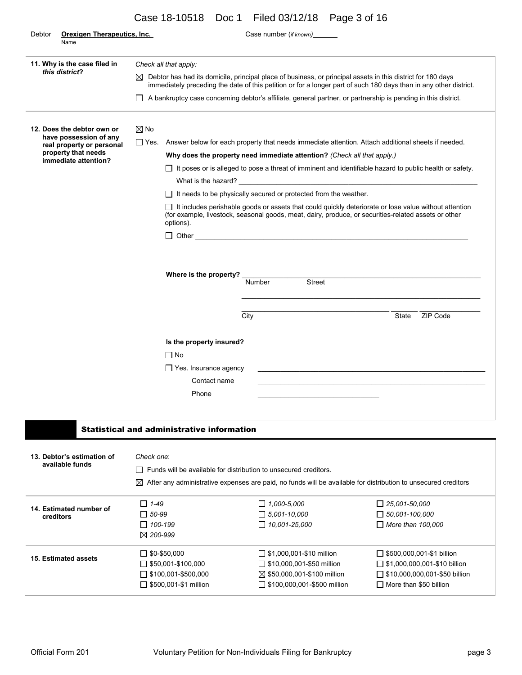|  |  | Case 18-10518 Doc 1 Filed 03/12/18 Page 3 of 16 |  |
|--|--|-------------------------------------------------|--|
|--|--|-------------------------------------------------|--|

| Debtor | <b>Orexigen Therapeutics, Inc.</b><br>Name          |                                                                                                                                                                                                                                       |                                                                         | Case number (if known)                                                                                                     |                                                                                                                |  |  |  |  |
|--------|-----------------------------------------------------|---------------------------------------------------------------------------------------------------------------------------------------------------------------------------------------------------------------------------------------|-------------------------------------------------------------------------|----------------------------------------------------------------------------------------------------------------------------|----------------------------------------------------------------------------------------------------------------|--|--|--|--|
|        | 11. Why is the case filed in<br>this district?      |                                                                                                                                                                                                                                       | Check all that apply:                                                   |                                                                                                                            |                                                                                                                |  |  |  |  |
|        |                                                     | Debtor has had its domicile, principal place of business, or principal assets in this district for 180 days<br>⊠<br>immediately preceding the date of this petition or for a longer part of such 180 days than in any other district. |                                                                         |                                                                                                                            |                                                                                                                |  |  |  |  |
|        |                                                     |                                                                                                                                                                                                                                       |                                                                         | A bankruptcy case concerning debtor's affiliate, general partner, or partnership is pending in this district.              |                                                                                                                |  |  |  |  |
|        | 12. Does the debtor own or                          | $\boxtimes$ No                                                                                                                                                                                                                        |                                                                         |                                                                                                                            |                                                                                                                |  |  |  |  |
|        | have possession of any<br>real property or personal |                                                                                                                                                                                                                                       |                                                                         | □ Yes. Answer below for each property that needs immediate attention. Attach additional sheets if needed.                  |                                                                                                                |  |  |  |  |
|        | property that needs                                 |                                                                                                                                                                                                                                       |                                                                         | Why does the property need immediate attention? (Check all that apply.)                                                    |                                                                                                                |  |  |  |  |
|        | immediate attention?                                |                                                                                                                                                                                                                                       |                                                                         |                                                                                                                            | $\Box$ It poses or is alleged to pose a threat of imminent and identifiable hazard to public health or safety. |  |  |  |  |
|        |                                                     |                                                                                                                                                                                                                                       |                                                                         |                                                                                                                            |                                                                                                                |  |  |  |  |
|        |                                                     |                                                                                                                                                                                                                                       |                                                                         | $\Box$ It needs to be physically secured or protected from the weather.                                                    |                                                                                                                |  |  |  |  |
|        |                                                     |                                                                                                                                                                                                                                       | options).                                                               | (for example, livestock, seasonal goods, meat, dairy, produce, or securities-related assets or other                       | $\Box$ It includes perishable goods or assets that could quickly deteriorate or lose value without attention   |  |  |  |  |
|        |                                                     |                                                                                                                                                                                                                                       |                                                                         | $\Box$ Other $\Box$                                                                                                        |                                                                                                                |  |  |  |  |
|        |                                                     |                                                                                                                                                                                                                                       |                                                                         |                                                                                                                            |                                                                                                                |  |  |  |  |
|        |                                                     |                                                                                                                                                                                                                                       |                                                                         |                                                                                                                            |                                                                                                                |  |  |  |  |
|        |                                                     | Where is the property?                                                                                                                                                                                                                |                                                                         |                                                                                                                            |                                                                                                                |  |  |  |  |
|        |                                                     |                                                                                                                                                                                                                                       |                                                                         | Number<br>Street                                                                                                           |                                                                                                                |  |  |  |  |
|        |                                                     |                                                                                                                                                                                                                                       |                                                                         |                                                                                                                            |                                                                                                                |  |  |  |  |
|        |                                                     |                                                                                                                                                                                                                                       |                                                                         | City                                                                                                                       | State ZIP Code                                                                                                 |  |  |  |  |
|        |                                                     |                                                                                                                                                                                                                                       |                                                                         |                                                                                                                            |                                                                                                                |  |  |  |  |
|        |                                                     |                                                                                                                                                                                                                                       | Is the property insured?                                                |                                                                                                                            |                                                                                                                |  |  |  |  |
|        |                                                     |                                                                                                                                                                                                                                       | $\Box$ No                                                               |                                                                                                                            |                                                                                                                |  |  |  |  |
|        |                                                     |                                                                                                                                                                                                                                       | $\Box$ Yes. Insurance agency                                            |                                                                                                                            |                                                                                                                |  |  |  |  |
|        |                                                     |                                                                                                                                                                                                                                       | Contact name                                                            |                                                                                                                            |                                                                                                                |  |  |  |  |
|        |                                                     |                                                                                                                                                                                                                                       |                                                                         |                                                                                                                            |                                                                                                                |  |  |  |  |
|        |                                                     |                                                                                                                                                                                                                                       | Phone                                                                   |                                                                                                                            |                                                                                                                |  |  |  |  |
|        |                                                     |                                                                                                                                                                                                                                       |                                                                         |                                                                                                                            |                                                                                                                |  |  |  |  |
|        |                                                     |                                                                                                                                                                                                                                       | <b>Statistical and administrative information</b>                       |                                                                                                                            |                                                                                                                |  |  |  |  |
|        |                                                     |                                                                                                                                                                                                                                       |                                                                         |                                                                                                                            |                                                                                                                |  |  |  |  |
|        | 13. Debtor's estimation of<br>available funds       | Check one:                                                                                                                                                                                                                            |                                                                         |                                                                                                                            |                                                                                                                |  |  |  |  |
|        |                                                     |                                                                                                                                                                                                                                       | $\Box$ Funds will be available for distribution to unsecured creditors. |                                                                                                                            |                                                                                                                |  |  |  |  |
|        |                                                     |                                                                                                                                                                                                                                       |                                                                         | $\boxtimes$ After any administrative expenses are paid, no funds will be available for distribution to unsecured creditors |                                                                                                                |  |  |  |  |
|        | 14. Estimated number of                             | $\Box$ 1-49                                                                                                                                                                                                                           |                                                                         | $\Box$ 1,000-5,000                                                                                                         | $\Box$ 25,001-50,000                                                                                           |  |  |  |  |
|        | creditors                                           | $\Box$ 50-99                                                                                                                                                                                                                          |                                                                         | $\Box$ 5,001-10,000                                                                                                        | $\Box$ 50,001-100,000                                                                                          |  |  |  |  |
|        |                                                     | $\Box$ 100-199                                                                                                                                                                                                                        |                                                                         | $\Box$ 10,001-25,000                                                                                                       | $\Box$ More than 100,000                                                                                       |  |  |  |  |
|        |                                                     | $\boxtimes$ 200-999                                                                                                                                                                                                                   |                                                                         |                                                                                                                            |                                                                                                                |  |  |  |  |
|        | <b>15. Estimated assets</b>                         |                                                                                                                                                                                                                                       | $\Box$ \$0-\$50,000                                                     | $\Box$ \$1,000,001-\$10 million                                                                                            | $\Box$ \$500,000,001-\$1 billion                                                                               |  |  |  |  |
|        |                                                     |                                                                                                                                                                                                                                       | $\Box$ \$50,001-\$100,000                                               | $\Box$ \$10,000,001-\$50 million                                                                                           | $\Box$ \$1,000,000,001-\$10 billion                                                                            |  |  |  |  |
|        |                                                     |                                                                                                                                                                                                                                       | $\Box$ \$100,001-\$500,000                                              | ⊠ \$50,000,001-\$100 million                                                                                               | $\Box$ \$10,000,000,001-\$50 billion                                                                           |  |  |  |  |
|        |                                                     |                                                                                                                                                                                                                                       | $\Box$ \$500,001-\$1 million                                            | $\Box$ \$100,000,001-\$500 million                                                                                         | $\Box$ More than \$50 billion                                                                                  |  |  |  |  |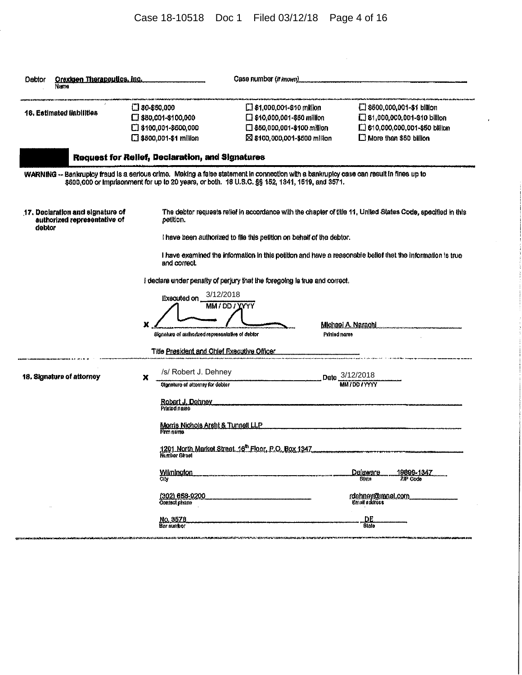# Case 18-10518 Doc 1 Filed 03/12/18 Page 4 of 16

| Orexigen Therapeutics, inc.<br>Debtor<br>Nama                                                                                           |   |                                                                                                                                                           | Case number (if inown)      |                                                                                                                                      |                                                                                                                                                                                                                            |
|-----------------------------------------------------------------------------------------------------------------------------------------|---|-----------------------------------------------------------------------------------------------------------------------------------------------------------|-----------------------------|--------------------------------------------------------------------------------------------------------------------------------------|----------------------------------------------------------------------------------------------------------------------------------------------------------------------------------------------------------------------------|
| 16. Estimated liabilities                                                                                                               |   | $\Box$ \$0-\$60,000<br>□ \$50,001-\$100,000<br>[ \$100,001-\$500,000<br>□ \$500,001-\$1 million<br><b>Request for Relief, Declaration, and Signatures</b> |                             | $\Box$ \$1,000,001-\$10 million<br>$\Box$ \$10,000,001-\$50 million<br>□ \$50,000,001-\$100 million<br>⊠ \$100,000,001-\$600 million | $\Box$ \$600,000,001-\$1 billion<br>S1,000,000,001-810 billion<br>□ \$10,000,000,001-\$50 billion<br>More than \$50 billion                                                                                                |
| WARNING -- Bankruptcy fraud is a serious orime. Making a false statement in connection with a bankruptcy case can result in fines up to |   |                                                                                                                                                           |                             | \$500,000 or imprisonment for up to 20 years, or both. 18 U.S.C. §§ 152, 1341, 1519, and 3571.                                       |                                                                                                                                                                                                                            |
| 17. Declaration and signature of<br>authorized representative of<br>debtor                                                              |   | petition.<br>and correct.                                                                                                                                 |                             | I have been authorized to file this petition on behalf of the debtor.                                                                | The debtor requests relief in accordance with the chapter of title 11, United States Code, specified in this<br>I have examined the information in this petition and have a reasonable belief that the information is true |
|                                                                                                                                         | x | Executed on _<br>Bignature of authorized representative of debtor                                                                                         | 3/12/2018<br>MM / DD / YYYY | I declare under penalty of perjury that the foregoing is true and correct.<br>Printed name                                           | Michael A. Narachi.                                                                                                                                                                                                        |
| 18. Signature of attorney                                                                                                               | x | Title President and Chief Executive Officer<br>/s/ Robert J. Dehney<br>Signature of attorney for debter<br>Robert J. Dehney<br>Printed name               |                             |                                                                                                                                      | Date 3/12/2018<br>MM / DD / YYYY                                                                                                                                                                                           |
|                                                                                                                                         |   | Morris Nichols Arsht & Tunnoll LLP<br>Firm name<br>1201 North Market Street, 16 <sup>th</sup> Floor, P.O. Box 1347<br>Number Struct<br>Wilmington         |                             |                                                                                                                                      | Delaware<br><u> 19899-1347</u><br>State<br>ZIP Code                                                                                                                                                                        |
|                                                                                                                                         |   | (302) 658-0200<br>Contact phone<br><u>No. 3578</u><br>Bar numbor                                                                                          |                             |                                                                                                                                      | <u>rdehnev@mnet.com</u><br>Email address<br>DE<br><b>Btalo</b>                                                                                                                                                             |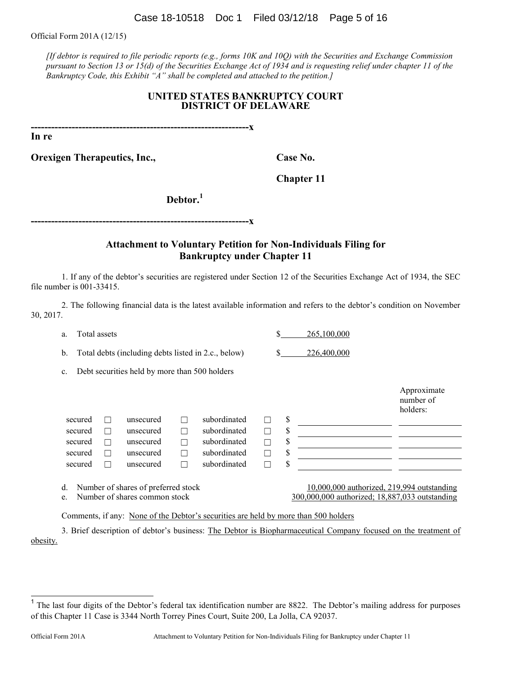Case 18-10518 Doc 1 Filed 03/12/18 Page 5 of 16

Official Form 201A (12/15)

*[If debtor is required to file periodic reports (e.g., forms 10K and 10Q) with the Securities and Exchange Commission pursuant to Section 13 or 15(d) of the Securities Exchange Act of 1934 and is requesting relief under chapter 11 of the Bankruptcy Code, this Exhibit "A" shall be completed and attached to the petition.]*

#### **UNITED STATES BANKRUPTCY COURT DISTRICT OF DELAWARE**

**----------------------------------------------------------------x**

**In re**

**Orexigen Therapeutics, Inc., Case No.** Case No.

**Chapter 11**

**Debtor.<sup>1</sup>**

**----------------------------------------------------------------x**

### **Attachment to Voluntary Petition for Non-Individuals Filing for Bankruptcy under Chapter 11**

1. If any of the debtor's securities are registered under Section 12 of the Securities Exchange Act of 1934, the SEC file number is 001-33415.

2. The following financial data is the latest available information and refers to the debtor's condition on November 30, 2017.

a. Total assets  $\qquad \qquad$  265,100,000

b. Total debts (including debts listed in 2.c., below) \$ 226,400,000

c. Debt securities held by more than 500 holders

|         |         |           |   |              |    |                                                                                                                                                                                                                                           | Approximate<br>number of<br>holders: |
|---------|---------|-----------|---|--------------|----|-------------------------------------------------------------------------------------------------------------------------------------------------------------------------------------------------------------------------------------------|--------------------------------------|
| secured |         | unsecured |   | subordinated | S  |                                                                                                                                                                                                                                           |                                      |
| secured |         | unsecured | П | subordinated | S  |                                                                                                                                                                                                                                           |                                      |
| secured |         | unsecured | Г | subordinated | S  |                                                                                                                                                                                                                                           |                                      |
| secured | $\perp$ | unsecured | Г | subordinated | \$ |                                                                                                                                                                                                                                           |                                      |
| secured |         | unsecured | Г | subordinated | \$ |                                                                                                                                                                                                                                           |                                      |
|         |         | $\cdots$  |   |              |    | $\overline{a}$ and and $\overline{a}$ is the second to the second to the second to the second to the second to the second to the second to the second to the second to the second to the second to the second to the second to the second | $\cdots$                             |

d. Number of shares of preferred stock 10,000,000 authorized, 219,994 outstanding e. Number of shares common stock 300,000,000 authorized; 18,887,033 outstanding

Comments, if any: None of the Debtor's securities are held by more than 500 holders

3. Brief description of debtor's business: The Debtor is Biopharmaceutical Company focused on the treatment of obesity.

<sup>&</sup>lt;sup>1</sup> The last four digits of the Debtor's federal tax identification number are 8822. The Debtor's mailing address for purposes of this Chapter 11 Case is 3344 North Torrey Pines Court, Suite 200, La Jolla, CA 92037.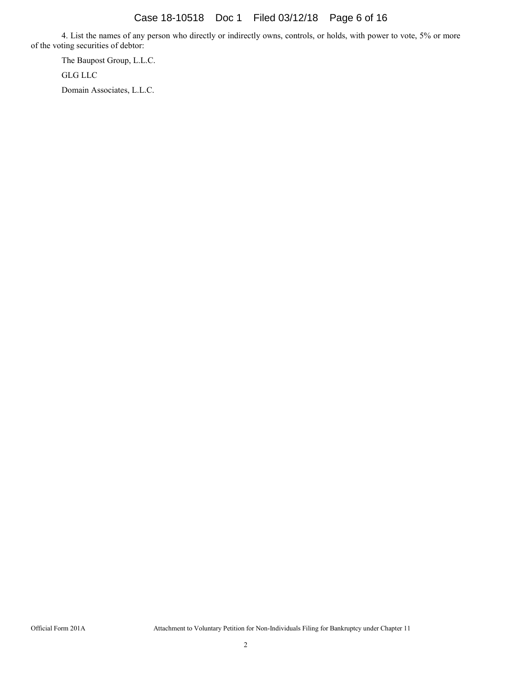4. List the names of any person who directly or indirectly owns, controls, or holds, with power to vote, 5% or more of the voting securities of debtor:

The Baupost Group, L.L.C. GLG LLC Domain Associates, L.L.C.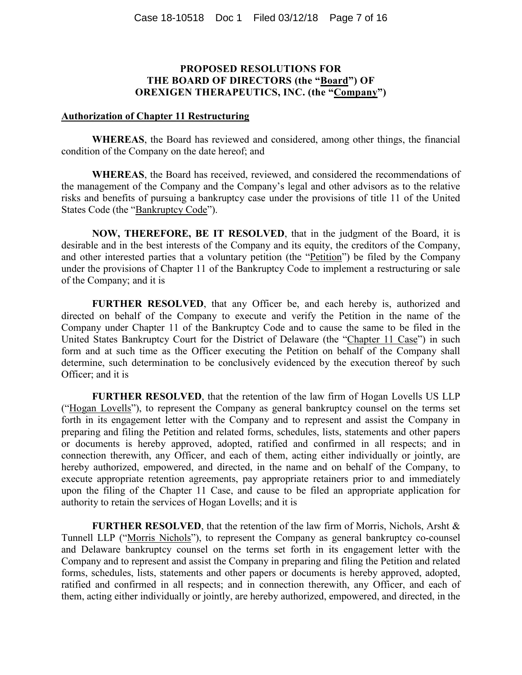### **PROPOSED RESOLUTIONS FOR THE BOARD OF DIRECTORS (the "Board") OF OREXIGEN THERAPEUTICS, INC. (the "Company")**

#### **Authorization of Chapter 11 Restructuring**

**WHEREAS**, the Board has reviewed and considered, among other things, the financial condition of the Company on the date hereof; and

**WHEREAS**, the Board has received, reviewed, and considered the recommendations of the management of the Company and the Company's legal and other advisors as to the relative risks and benefits of pursuing a bankruptcy case under the provisions of title 11 of the United States Code (the "Bankruptcy Code").

**NOW, THEREFORE, BE IT RESOLVED**, that in the judgment of the Board, it is desirable and in the best interests of the Company and its equity, the creditors of the Company, and other interested parties that a voluntary petition (the "Petition") be filed by the Company under the provisions of Chapter 11 of the Bankruptcy Code to implement a restructuring or sale of the Company; and it is

**FURTHER RESOLVED**, that any Officer be, and each hereby is, authorized and directed on behalf of the Company to execute and verify the Petition in the name of the Company under Chapter 11 of the Bankruptcy Code and to cause the same to be filed in the United States Bankruptcy Court for the District of Delaware (the "Chapter 11 Case") in such form and at such time as the Officer executing the Petition on behalf of the Company shall determine, such determination to be conclusively evidenced by the execution thereof by such Officer; and it is

**FURTHER RESOLVED**, that the retention of the law firm of Hogan Lovells US LLP ("Hogan Lovells"), to represent the Company as general bankruptcy counsel on the terms set forth in its engagement letter with the Company and to represent and assist the Company in preparing and filing the Petition and related forms, schedules, lists, statements and other papers or documents is hereby approved, adopted, ratified and confirmed in all respects; and in connection therewith, any Officer, and each of them, acting either individually or jointly, are hereby authorized, empowered, and directed, in the name and on behalf of the Company, to execute appropriate retention agreements, pay appropriate retainers prior to and immediately upon the filing of the Chapter 11 Case, and cause to be filed an appropriate application for authority to retain the services of Hogan Lovells; and it is

**FURTHER RESOLVED**, that the retention of the law firm of Morris, Nichols, Arsht & Tunnell LLP ("Morris Nichols"), to represent the Company as general bankruptcy co-counsel and Delaware bankruptcy counsel on the terms set forth in its engagement letter with the Company and to represent and assist the Company in preparing and filing the Petition and related forms, schedules, lists, statements and other papers or documents is hereby approved, adopted, ratified and confirmed in all respects; and in connection therewith, any Officer, and each of them, acting either individually or jointly, are hereby authorized, empowered, and directed, in the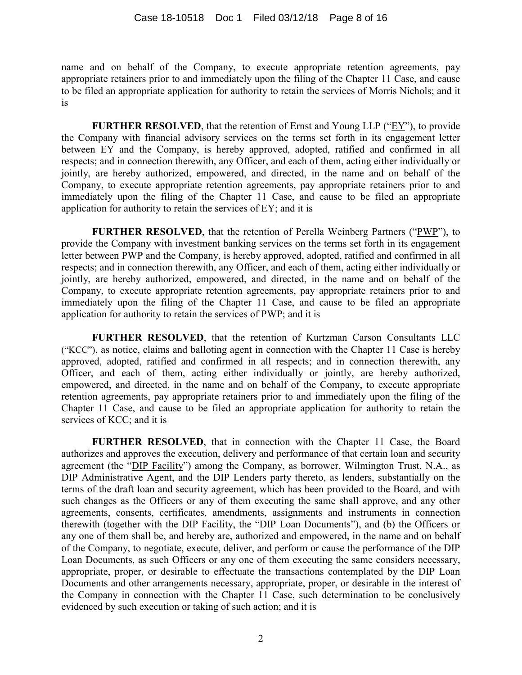name and on behalf of the Company, to execute appropriate retention agreements, pay appropriate retainers prior to and immediately upon the filing of the Chapter 11 Case, and cause to be filed an appropriate application for authority to retain the services of Morris Nichols; and it is

**FURTHER RESOLVED**, that the retention of Ernst and Young LLP (" $EY$ "), to provide the Company with financial advisory services on the terms set forth in its engagement letter between EY and the Company, is hereby approved, adopted, ratified and confirmed in all respects; and in connection therewith, any Officer, and each of them, acting either individually or jointly, are hereby authorized, empowered, and directed, in the name and on behalf of the Company, to execute appropriate retention agreements, pay appropriate retainers prior to and immediately upon the filing of the Chapter 11 Case, and cause to be filed an appropriate application for authority to retain the services of EY; and it is

**FURTHER RESOLVED**, that the retention of Perella Weinberg Partners ("PWP"), to provide the Company with investment banking services on the terms set forth in its engagement letter between PWP and the Company, is hereby approved, adopted, ratified and confirmed in all respects; and in connection therewith, any Officer, and each of them, acting either individually or jointly, are hereby authorized, empowered, and directed, in the name and on behalf of the Company, to execute appropriate retention agreements, pay appropriate retainers prior to and immediately upon the filing of the Chapter 11 Case, and cause to be filed an appropriate application for authority to retain the services of PWP; and it is

**FURTHER RESOLVED**, that the retention of Kurtzman Carson Consultants LLC ("KCC"), as notice, claims and balloting agent in connection with the Chapter 11 Case is hereby approved, adopted, ratified and confirmed in all respects; and in connection therewith, any Officer, and each of them, acting either individually or jointly, are hereby authorized, empowered, and directed, in the name and on behalf of the Company, to execute appropriate retention agreements, pay appropriate retainers prior to and immediately upon the filing of the Chapter 11 Case, and cause to be filed an appropriate application for authority to retain the services of KCC; and it is

**FURTHER RESOLVED**, that in connection with the Chapter 11 Case, the Board authorizes and approves the execution, delivery and performance of that certain loan and security agreement (the "DIP Facility") among the Company, as borrower, Wilmington Trust, N.A., as DIP Administrative Agent, and the DIP Lenders party thereto, as lenders, substantially on the terms of the draft loan and security agreement, which has been provided to the Board, and with such changes as the Officers or any of them executing the same shall approve, and any other agreements, consents, certificates, amendments, assignments and instruments in connection therewith (together with the DIP Facility, the "DIP Loan Documents"), and (b) the Officers or any one of them shall be, and hereby are, authorized and empowered, in the name and on behalf of the Company, to negotiate, execute, deliver, and perform or cause the performance of the DIP Loan Documents, as such Officers or any one of them executing the same considers necessary, appropriate, proper, or desirable to effectuate the transactions contemplated by the DIP Loan Documents and other arrangements necessary, appropriate, proper, or desirable in the interest of the Company in connection with the Chapter 11 Case, such determination to be conclusively evidenced by such execution or taking of such action; and it is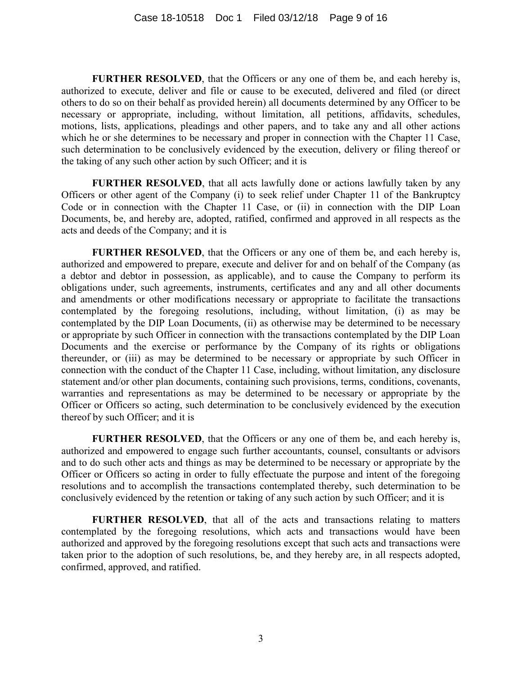**FURTHER RESOLVED**, that the Officers or any one of them be, and each hereby is, authorized to execute, deliver and file or cause to be executed, delivered and filed (or direct others to do so on their behalf as provided herein) all documents determined by any Officer to be necessary or appropriate, including, without limitation, all petitions, affidavits, schedules, motions, lists, applications, pleadings and other papers, and to take any and all other actions which he or she determines to be necessary and proper in connection with the Chapter 11 Case, such determination to be conclusively evidenced by the execution, delivery or filing thereof or the taking of any such other action by such Officer; and it is

**FURTHER RESOLVED**, that all acts lawfully done or actions lawfully taken by any Officers or other agent of the Company (i) to seek relief under Chapter 11 of the Bankruptcy Code or in connection with the Chapter 11 Case, or (ii) in connection with the DIP Loan Documents, be, and hereby are, adopted, ratified, confirmed and approved in all respects as the acts and deeds of the Company; and it is

**FURTHER RESOLVED**, that the Officers or any one of them be, and each hereby is, authorized and empowered to prepare, execute and deliver for and on behalf of the Company (as a debtor and debtor in possession, as applicable), and to cause the Company to perform its obligations under, such agreements, instruments, certificates and any and all other documents and amendments or other modifications necessary or appropriate to facilitate the transactions contemplated by the foregoing resolutions, including, without limitation, (i) as may be contemplated by the DIP Loan Documents, (ii) as otherwise may be determined to be necessary or appropriate by such Officer in connection with the transactions contemplated by the DIP Loan Documents and the exercise or performance by the Company of its rights or obligations thereunder, or (iii) as may be determined to be necessary or appropriate by such Officer in connection with the conduct of the Chapter 11 Case, including, without limitation, any disclosure statement and/or other plan documents, containing such provisions, terms, conditions, covenants, warranties and representations as may be determined to be necessary or appropriate by the Officer or Officers so acting, such determination to be conclusively evidenced by the execution thereof by such Officer; and it is

**FURTHER RESOLVED**, that the Officers or any one of them be, and each hereby is, authorized and empowered to engage such further accountants, counsel, consultants or advisors and to do such other acts and things as may be determined to be necessary or appropriate by the Officer or Officers so acting in order to fully effectuate the purpose and intent of the foregoing resolutions and to accomplish the transactions contemplated thereby, such determination to be conclusively evidenced by the retention or taking of any such action by such Officer; and it is

**FURTHER RESOLVED**, that all of the acts and transactions relating to matters contemplated by the foregoing resolutions, which acts and transactions would have been authorized and approved by the foregoing resolutions except that such acts and transactions were taken prior to the adoption of such resolutions, be, and they hereby are, in all respects adopted, confirmed, approved, and ratified.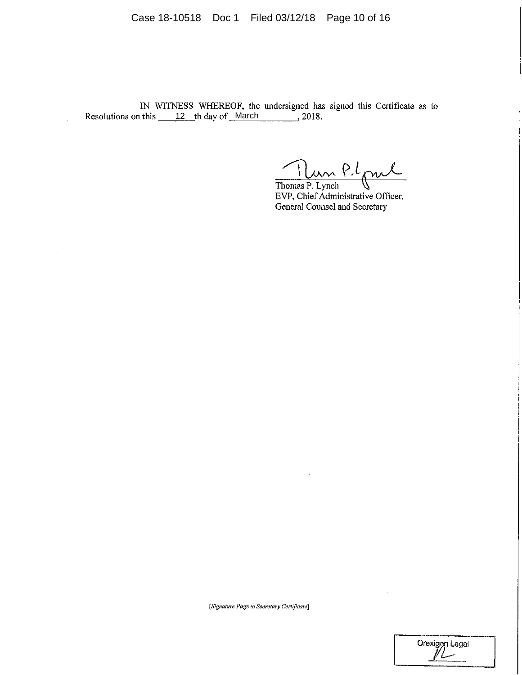Case 18-10518 Doc 1 Filed 03/12/18 Page 10 of 16

IN WITNESS WHEREOF, the undersigned has signed this Certificate as to 12 March

 $\ddot{\phantom{a}}$ 

 $\sim$ 

 $\sim$ 

 $\sim$ 

 $\sim$ 

Thomas P. Lynch<br>Thomas P. Lynch<br>EVD Chios Administrative Officer

EVP, Chief Administrative Officer, General Counsel and Secretary

[Signature Page to Secretary Certificate]

Orexiggn Legal

 $\bar{\gamma}$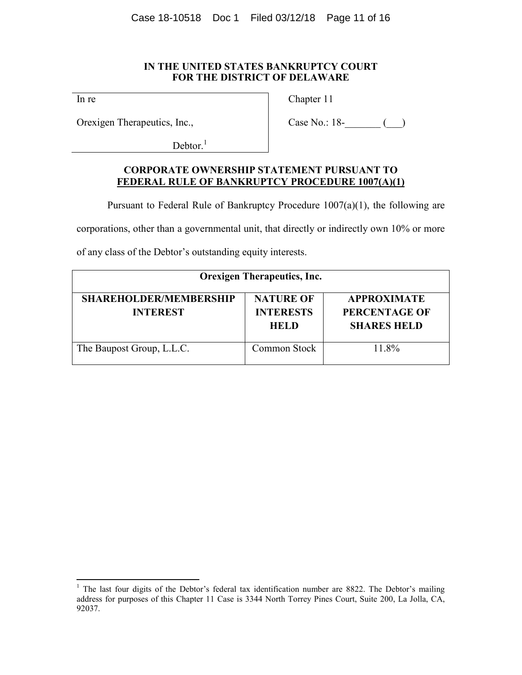### **IN THE UNITED STATES BANKRUPTCY COURT FOR THE DISTRICT OF DELAWARE**

In re

Chapter 11

Orexigen Therapeutics, Inc.,

Case No.: 18-<sup>1</sup>

 $Dektor.<sup>1</sup>$ 

## **CORPORATE OWNERSHIP STATEMENT PURSUANT TO FEDERAL RULE OF BANKRUPTCY PROCEDURE 1007(A)(1)**

Pursuant to Federal Rule of Bankruptcy Procedure 1007(a)(1), the following are

corporations, other than a governmental unit, that directly or indirectly own 10% or more

of any class of the Debtor's outstanding equity interests.

| <b>Orexigen Therapeutics, Inc.</b>               |                                                     |                                                                  |  |  |  |  |  |
|--------------------------------------------------|-----------------------------------------------------|------------------------------------------------------------------|--|--|--|--|--|
| <b>SHAREHOLDER/MEMBERSHIP</b><br><b>INTEREST</b> | <b>NATURE OF</b><br><b>INTERESTS</b><br><b>HELD</b> | <b>APPROXIMATE</b><br><b>PERCENTAGE OF</b><br><b>SHARES HELD</b> |  |  |  |  |  |
| The Baupost Group, L.L.C.                        | Common Stock                                        | 11.8%                                                            |  |  |  |  |  |

<sup>&</sup>lt;sup>1</sup> The last four digits of the Debtor's federal tax identification number are 8822. The Debtor's mailing address for purposes of this Chapter 11 Case is 3344 North Torrey Pines Court, Suite 200, La Jolla, CA, 92037.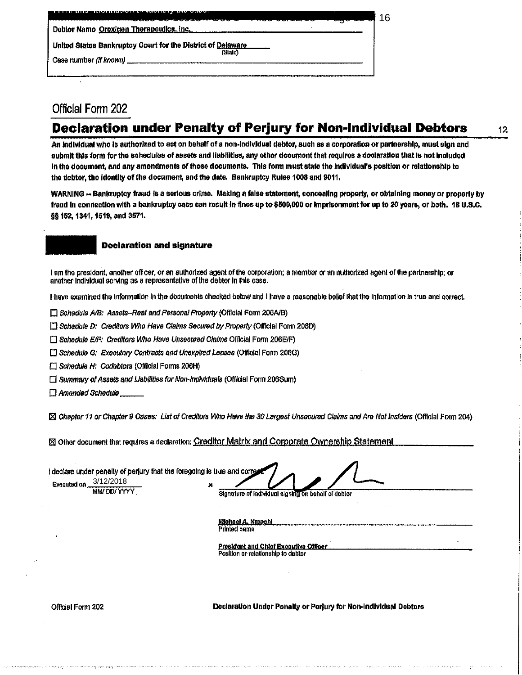| <del>ישע <i>ובי</i>ום נכונות החיים של פיטושיים שפו</del>               | 16 |
|------------------------------------------------------------------------|----|
| Debtor Name Orexigen Therapoutics. inc.                                |    |
| United States Bankruptcy Court for the District of Delaware<br>(State) |    |
| Case number (if known) ______                                          |    |

# Official Form 202

# **Declaration under Penalty of Perjury for Non-Individual Debtors**

An individual who is authorized to act on behalf of a non-individual debtor, such as a corporation or partnership, must sign and submit this form for the schedules of assets and liabilities, any other document that requires a declaration that is not included In the document, and any amendments of those documents. This form must state the individual's position or relationship to the debtor, the identity of the document, and the date. Bankruptcy Rules 1008 and 9011.

WARNING -- Bankruptcy fraud is a serious crime. Making a false statement, concealing property, or obtaining money or property by fraud in connection with a bankruptcy case can result in fines up to \$500,000 or imprisonment for up to 20 years, or both. 18 U.S.C. §§ 152, 1341, 1519, and 3571.

#### **Declaration and signature**

I am the president, another officer, or an authorized agent of the corporation; a member or an authorized agent of the partnership; or another individual serving as a representative of the debtor in this case.

I have examined the information in the documents checked below and I have a reasonable belief that the information is true and correct.

Schadule A/B: Assets-Real and Personal Property (Official Form 206A/B)

Schedule D: Creditors Who Have Claims Secured by Property (Official Form 206D)

[7] Schedule E/F: Creditors Who Have Unsecured Claims Official Form 206E/F)

[] Schedule G: Executory Contracts and Unexpired Leases (Official Form 208G)

[ Schedule H: Codebtors (Official Forms 206H)

□ Summary of Assets and Liabilities for Non-Individuals (Official Form 206Sum)

Amended Schedule

[X] Chapter 11 or Chapter 9 Cases: List of Creditors Who Have the 30 Largest Unsecured Claims and Are Not Insiders (Official Form 204)

⊠ Other document that requires a declaration: Creditor Matrix and Corporate Ownership Statement

declare under penalty of perjury that the foregoing is true and correl 3/12/2018 Executed on

MM/DD/YYYY

Signature of individual signing on behalf of debtor

**Michael A. Narachi** Printed name

President and Chief Executive Officer Position or relationship to debtor

Official Form 202

Declaration Under Penalty or Periury for Non-Individual Debtors

 $12$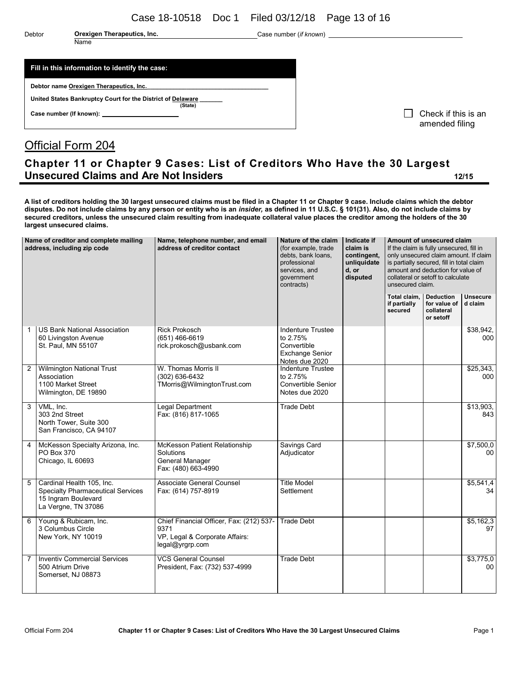Case 18-10518 Doc 1 Filed 03/12/18 Page 13 of 16

Name

Debtor **Orexigen Therapeutics, Inc. Case number (***if known***)** Case number (*if known*)

### **Fill in this information to identify the case:**

Debtor name **Orexigen Therapeutics**, Inc.

**United States Bankruptcy Court for the District of Delaware \_\_\_\_\_\_\_ (State)**

**Case number (If known):**

 $\Box$  Check if this is an amended filing

# Official Form 204

# **Chapter 11 or Chapter 9 Cases: List of Creditors Who Have the 30 Largest Unsecured Claims and Are Not Insiders 12/15**

**A list of creditors holding the 30 largest unsecured claims must be filed in a Chapter 11 or Chapter 9 case. Include claims which the debtor disputes. Do not include claims by any person or entity who is an** *insider,* **as defined in 11 U.S.C. § 101(31). Also, do not include claims by secured creditors, unless the unsecured claim resulting from inadequate collateral value places the creditor among the holders of the 30 largest unsecured claims.**

| Name of creditor and complete mailing<br>address, including zip code |                                                                                                                     | Name, telephone number, and email<br>address of creditor contact                                      | Nature of the claim<br>(for example, trade<br>debts, bank loans,<br>professional<br>services, and<br>government<br>contracts) | Indicate if<br>claim is<br>contingent,<br>unliquidate<br>d, or<br>disputed | Amount of unsecured claim<br>If the claim is fully unsecured, fill in<br>only unsecured claim amount. If claim<br>is partially secured, fill in total claim<br>amount and deduction for value of<br>collateral or setoff to calculate<br>unsecured claim. |                                         |                            |  |
|----------------------------------------------------------------------|---------------------------------------------------------------------------------------------------------------------|-------------------------------------------------------------------------------------------------------|-------------------------------------------------------------------------------------------------------------------------------|----------------------------------------------------------------------------|-----------------------------------------------------------------------------------------------------------------------------------------------------------------------------------------------------------------------------------------------------------|-----------------------------------------|----------------------------|--|
|                                                                      |                                                                                                                     |                                                                                                       |                                                                                                                               |                                                                            | Total claim. Deduction<br>if partially<br>secured                                                                                                                                                                                                         | for value of<br>collateral<br>or setoff | <b>Unsecure</b><br>d claim |  |
| 1                                                                    | <b>US Bank National Association</b><br>60 Livingston Avenue<br>St. Paul, MN 55107                                   | <b>Rick Prokosch</b><br>$(651)$ 466-6619<br>rick.prokosch@usbank.com                                  | <b>Indenture Trustee</b><br>to 2.75%<br>Convertible<br><b>Exchange Senior</b><br>Notes due 2020                               |                                                                            |                                                                                                                                                                                                                                                           |                                         | \$38,942.<br>000           |  |
| $\overline{2}$                                                       | <b>Wilmington National Trust</b><br>Association<br>1100 Market Street<br>Wilmington, DE 19890                       | W. Thomas Morris II<br>(302) 636-6432<br>TMorris@WilmingtonTrust.com                                  | <b>Indenture Trustee</b><br>to 2.75%<br>Convertible Senior<br>Notes due 2020                                                  |                                                                            |                                                                                                                                                                                                                                                           |                                         | \$25,343,<br>000           |  |
| 3                                                                    | VML, Inc.<br>303 2nd Street<br>North Tower, Suite 300<br>San Francisco, CA 94107                                    | Legal Department<br>Fax: (816) 817-1065                                                               | <b>Trade Debt</b>                                                                                                             |                                                                            |                                                                                                                                                                                                                                                           |                                         | \$13,903,<br>843           |  |
| 4                                                                    | McKesson Specialty Arizona, Inc.<br>PO Box 370<br>Chicago, IL 60693                                                 | McKesson Patient Relationship<br>Solutions<br>General Manager<br>Fax: (480) 663-4990                  | Savings Card<br>Adjudicator                                                                                                   |                                                                            |                                                                                                                                                                                                                                                           |                                         | \$7,500,0<br>00            |  |
| 5                                                                    | Cardinal Health 105, Inc.<br><b>Specialty Pharmaceutical Services</b><br>15 Ingram Boulevard<br>La Vergne, TN 37086 | Associate General Counsel<br>Fax: (614) 757-8919                                                      | <b>Title Model</b><br>Settlement                                                                                              |                                                                            |                                                                                                                                                                                                                                                           |                                         | \$5,541,4<br>34            |  |
| 6                                                                    | Young & Rubicam, Inc.<br>3 Columbus Circle<br>New York, NY 10019                                                    | Chief Financial Officer, Fax: (212) 537-<br>9371<br>VP, Legal & Corporate Affairs:<br>legal@yrgrp.com | <b>Trade Debt</b>                                                                                                             |                                                                            |                                                                                                                                                                                                                                                           |                                         | \$5,162,3<br>97            |  |
| 7                                                                    | <b>Inventiv Commercial Services</b><br>500 Atrium Drive<br>Somerset, NJ 08873                                       | <b>VCS General Counsel</b><br>President, Fax: (732) 537-4999                                          | <b>Trade Debt</b>                                                                                                             |                                                                            |                                                                                                                                                                                                                                                           |                                         | \$3,775,0<br>00            |  |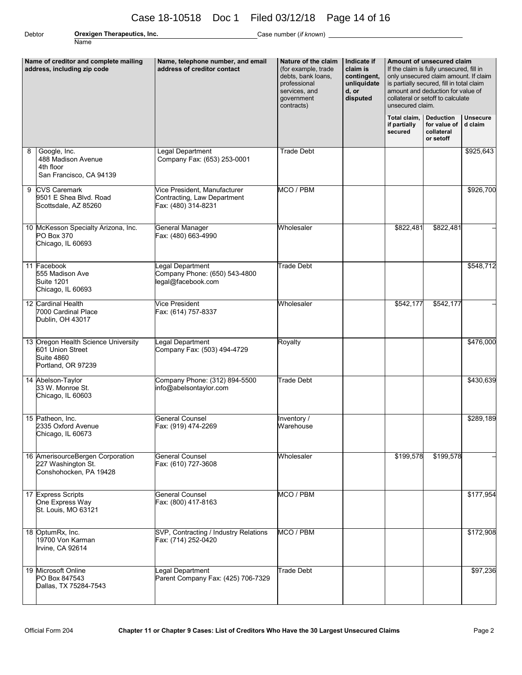# Case 18-10518 Doc 1 Filed 03/12/18 Page 14 of 16

Name

Debtor **Orexigen Therapeutics, Inc.** Case number (*if known*) **Case number** (*if known*)

| Name of creditor and complete mailing<br>address, including zip code |                                                                                                    | Name, telephone number, and email<br>address of creditor contact                   | Nature of the claim<br>(for example, trade<br>debts, bank loans,<br>professional<br>services, and<br>government<br>contracts) | Indicate if<br>claim is<br>contingent,<br>unliquidate<br>d, or<br>disputed | Amount of unsecured claim<br>If the claim is fully unsecured, fill in<br>only unsecured claim amount. If claim<br>is partially secured, fill in total claim<br>amount and deduction for value of<br>collateral or setoff to calculate<br>unsecured claim. |                                         |                            |  |
|----------------------------------------------------------------------|----------------------------------------------------------------------------------------------------|------------------------------------------------------------------------------------|-------------------------------------------------------------------------------------------------------------------------------|----------------------------------------------------------------------------|-----------------------------------------------------------------------------------------------------------------------------------------------------------------------------------------------------------------------------------------------------------|-----------------------------------------|----------------------------|--|
|                                                                      |                                                                                                    |                                                                                    |                                                                                                                               |                                                                            | <b>Total claim.</b> Deduction<br>if partially<br>secured                                                                                                                                                                                                  | for value of<br>collateral<br>or setoff | <b>Unsecure</b><br>d claim |  |
| 8                                                                    | Google, Inc.<br>488 Madison Avenue<br>4th floor<br>San Francisco, CA 94139                         | Legal Department<br>Company Fax: (653) 253-0001                                    | <b>Trade Debt</b>                                                                                                             |                                                                            |                                                                                                                                                                                                                                                           |                                         | \$925,643                  |  |
| 9                                                                    | <b>CVS Caremark</b><br>9501 E Shea Blvd. Road<br>Scottsdale, AZ 85260                              | Vice President, Manufacturer<br>Contracting, Law Department<br>Fax: (480) 314-8231 | MCO / PBM                                                                                                                     |                                                                            |                                                                                                                                                                                                                                                           |                                         | \$926,700                  |  |
|                                                                      | 10 McKesson Specialty Arizona, Inc.<br>PO Box 370<br>Chicago, IL 60693                             | General Manager<br>Fax: (480) 663-4990                                             | Wholesaler                                                                                                                    |                                                                            | \$822,481                                                                                                                                                                                                                                                 | \$822,481                               |                            |  |
|                                                                      | 11 Facebook<br>555 Madison Ave<br><b>Suite 1201</b><br>Chicago, IL 60693                           | egal Department<br>Company Phone: (650) 543-4800<br>legal@facebook.com             | <b>Trade Debt</b>                                                                                                             |                                                                            |                                                                                                                                                                                                                                                           |                                         | \$548,712                  |  |
|                                                                      | 12 Cardinal Health<br>7000 Cardinal Place<br>Dublin, OH 43017                                      | Vice President<br>Fax: (614) 757-8337                                              | Wholesaler                                                                                                                    |                                                                            | \$542,177                                                                                                                                                                                                                                                 | \$542,177                               |                            |  |
|                                                                      | 13 Oregon Health Science University<br>601 Union Street<br><b>Suite 4860</b><br>Portland, OR 97239 | Legal Department<br>Company Fax: (503) 494-4729                                    | Royalty                                                                                                                       |                                                                            |                                                                                                                                                                                                                                                           |                                         | \$476,000                  |  |
|                                                                      | 14 Abelson-Taylor<br>33 W. Monroe St.<br>Chicago, IL 60603                                         | Company Phone: (312) 894-5500<br>info@abelsontaylor.com                            | Trade Debt                                                                                                                    |                                                                            |                                                                                                                                                                                                                                                           |                                         | \$430,639                  |  |
|                                                                      | 15 Patheon, Inc.<br>2335 Oxford Avenue<br>Chicago, IL 60673                                        | General Counsel<br>Fax: (919) 474-2269                                             | Inventory /<br>Warehouse                                                                                                      |                                                                            |                                                                                                                                                                                                                                                           |                                         | \$289,189                  |  |
|                                                                      | 16 AmerisourceBergen Corporation<br>227 Washington St.<br>Conshohocken, PA 19428                   | <b>General Counsel</b><br>Fax: (610) 727-3608                                      | Wholesaler                                                                                                                    |                                                                            | \$199,578                                                                                                                                                                                                                                                 | \$199,578                               |                            |  |
|                                                                      | 17 Express Scripts<br>One Express Way<br>St. Louis, MO 63121                                       | <b>General Counsel</b><br>Fax: (800) 417-8163                                      | MCO / PBM                                                                                                                     |                                                                            |                                                                                                                                                                                                                                                           |                                         | \$177,954                  |  |
|                                                                      | 18 OptumRx, Inc.<br>19700 Von Karman<br>Irvine, CA 92614                                           | SVP, Contracting / Industry Relations<br>Fax: (714) 252-0420                       | MCO / PBM                                                                                                                     |                                                                            |                                                                                                                                                                                                                                                           |                                         | \$172,908                  |  |
|                                                                      | 19 Microsoft Online<br>PO Box 847543<br>Dallas, TX 75284-7543                                      | egal Department<br>Parent Company Fax: (425) 706-7329                              | Trade Debt                                                                                                                    |                                                                            |                                                                                                                                                                                                                                                           |                                         | \$97,236                   |  |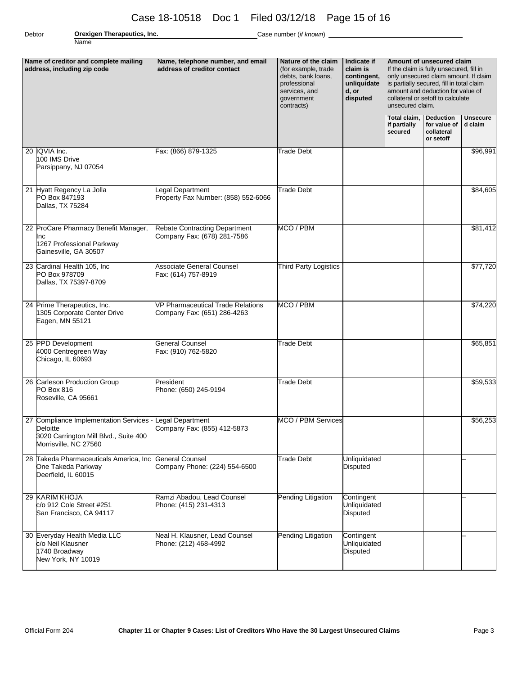# Case 18-10518 Doc 1 Filed 03/12/18 Page 15 of 16

Name

Debtor **Orexigen Therapeutics, Inc.** Case number (*if known*)

| Name of creditor and complete mailing<br>address, including zip code |                                                                                                                       | Name, telephone number, and email<br>address of creditor contact | Nature of the claim<br>(for example, trade<br>debts, bank loans,<br>professional<br>services, and<br>government<br>contracts) | Indicate if<br>claim is<br>contingent,<br>unliquidate<br>d, or<br>disputed | Amount of unsecured claim<br>If the claim is fully unsecured, fill in<br>only unsecured claim amount. If claim<br>is partially secured, fill in total claim<br>amount and deduction for value of<br>collateral or setoff to calculate<br>unsecured claim. |                                         |                            |  |
|----------------------------------------------------------------------|-----------------------------------------------------------------------------------------------------------------------|------------------------------------------------------------------|-------------------------------------------------------------------------------------------------------------------------------|----------------------------------------------------------------------------|-----------------------------------------------------------------------------------------------------------------------------------------------------------------------------------------------------------------------------------------------------------|-----------------------------------------|----------------------------|--|
|                                                                      |                                                                                                                       |                                                                  |                                                                                                                               |                                                                            | Total claim. Deduction<br>if partially<br>secured                                                                                                                                                                                                         | for value of<br>collateral<br>or setoff | <b>Unsecure</b><br>d claim |  |
|                                                                      | 20 IQVIA Inc.<br>100 IMS Drive<br>Parsippany, NJ 07054                                                                | Fax: (866) 879-1325                                              | <b>Trade Debt</b>                                                                                                             |                                                                            |                                                                                                                                                                                                                                                           |                                         | \$96,991                   |  |
|                                                                      | 21 Hyatt Regency La Jolla<br>PO Box 847193<br>Dallas, TX 75284                                                        | egal Department<br>Property Fax Number: (858) 552-6066           | <b>Trade Debt</b>                                                                                                             |                                                                            |                                                                                                                                                                                                                                                           |                                         | \$84,605                   |  |
|                                                                      | 22 ProCare Pharmacy Benefit Manager,<br>Inc<br>1267 Professional Parkway<br>Gainesville, GA 30507                     | Rebate Contracting Department<br>Company Fax: (678) 281-7586     | MCO / PBM                                                                                                                     |                                                                            |                                                                                                                                                                                                                                                           |                                         | \$81,412                   |  |
|                                                                      | 23 Cardinal Health 105, Inc<br>PO Box 978709<br>Dallas, TX 75397-8709                                                 | <b>Associate General Counsel</b><br>Fax: (614) 757-8919          | Third Party Logistics                                                                                                         |                                                                            |                                                                                                                                                                                                                                                           |                                         | \$77,720                   |  |
|                                                                      | 24 Prime Therapeutics, Inc.<br>1305 Corporate Center Drive<br>Eagen, MN 55121                                         | VP Pharmaceutical Trade Relations<br>Company Fax: (651) 286-4263 | MCO / PBM                                                                                                                     |                                                                            |                                                                                                                                                                                                                                                           |                                         | \$74,220                   |  |
|                                                                      | 25 PPD Development<br>4000 Centregreen Way<br>Chicago, IL 60693                                                       | <b>General Counsel</b><br>Fax: (910) 762-5820                    | <b>Trade Debt</b>                                                                                                             |                                                                            |                                                                                                                                                                                                                                                           |                                         | \$65,851                   |  |
|                                                                      | 26 Carleson Production Group<br><b>PO Box 816</b><br>Roseville, CA 95661                                              | President<br>Phone: (650) 245-9194                               | Trade Debt                                                                                                                    |                                                                            |                                                                                                                                                                                                                                                           |                                         | \$59,533                   |  |
|                                                                      | 27 Compliance Implementation Services -<br>Deloitte<br>3020 Carrington Mill Blvd., Suite 400<br>Morrisville, NC 27560 | Legal Department<br>Company Fax: (855) 412-5873                  | MCO / PBM Services                                                                                                            |                                                                            |                                                                                                                                                                                                                                                           |                                         | \$56,253                   |  |
|                                                                      | 28 Takeda Pharmaceuticals America, Inc.<br>One Takeda Parkway<br>Deerfield, IL 60015                                  | <b>General Counsel</b><br>Company Phone: (224) 554-6500          | Trade Debt                                                                                                                    | <b>Unliquidated</b><br><b>Disputed</b>                                     |                                                                                                                                                                                                                                                           |                                         |                            |  |
|                                                                      | 29 KARIM KHOJA<br>c/o 912 Cole Street #251<br>San Francisco, CA 94117                                                 | Ramzi Abadou, Lead Counsel<br>Phone: (415) 231-4313              | Pending Litigation                                                                                                            | Contingent<br>Unliquidated<br><b>Disputed</b>                              |                                                                                                                                                                                                                                                           |                                         |                            |  |
|                                                                      | 30 Everyday Health Media LLC<br>c/o Neil Klausner<br>1740 Broadway<br>New York, NY 10019                              | Neal H. Klausner, Lead Counsel<br>Phone: (212) 468-4992          | Pending Litigation                                                                                                            | Contingent<br>Unliquidated<br><b>Disputed</b>                              |                                                                                                                                                                                                                                                           |                                         |                            |  |